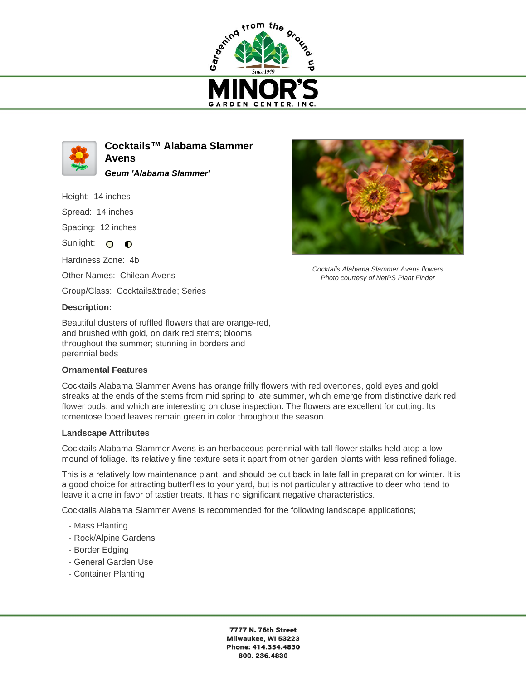



**Cocktails™ Alabama Slammer Avens Geum 'Alabama Slammer'**

Height: 14 inches

Spread: 14 inches

Spacing: 12 inches

Sunlight: O O

Hardiness Zone: 4b

Other Names: Chilean Avens

Group/Class: Cocktails™ Series

## **Description:**

Beautiful clusters of ruffled flowers that are orange-red, and brushed with gold, on dark red stems; blooms throughout the summer; stunning in borders and perennial beds

## **Ornamental Features**

Cocktails Alabama Slammer Avens has orange frilly flowers with red overtones, gold eyes and gold streaks at the ends of the stems from mid spring to late summer, which emerge from distinctive dark red flower buds, and which are interesting on close inspection. The flowers are excellent for cutting. Its tomentose lobed leaves remain green in color throughout the season.

## **Landscape Attributes**

Cocktails Alabama Slammer Avens is an herbaceous perennial with tall flower stalks held atop a low mound of foliage. Its relatively fine texture sets it apart from other garden plants with less refined foliage.

This is a relatively low maintenance plant, and should be cut back in late fall in preparation for winter. It is a good choice for attracting butterflies to your yard, but is not particularly attractive to deer who tend to leave it alone in favor of tastier treats. It has no significant negative characteristics.

Cocktails Alabama Slammer Avens is recommended for the following landscape applications;

- Mass Planting
- Rock/Alpine Gardens
- Border Edging
- General Garden Use
- Container Planting



Cocktails Alabama Slammer Avens flowers Photo courtesy of NetPS Plant Finder

7777 N. 76th Street Milwaukee, WI 53223 Phone: 414.354.4830 800.236.4830